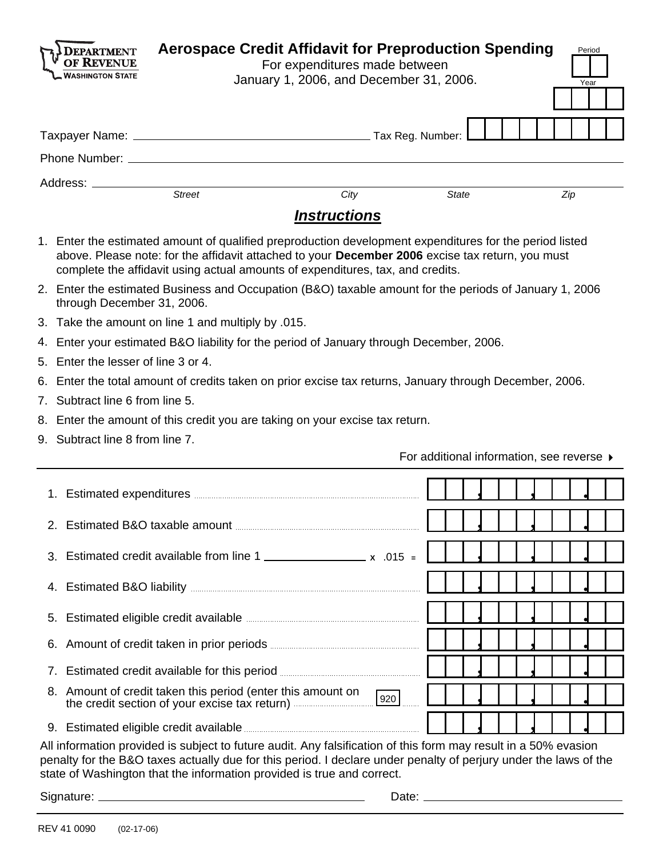| Address: __________<br><b>Street</b><br>City<br>State<br>Zip<br><b>Instructions</b><br>1. Enter the estimated amount of qualified preproduction development expenditures for the period listed<br>above. Please note: for the affidavit attached to your December 2006 excise tax return, you must<br>complete the affidavit using actual amounts of expenditures, tax, and credits.<br>2. Enter the estimated Business and Occupation (B&O) taxable amount for the periods of January 1, 2006<br>through December 31, 2006.<br>3. Take the amount on line 1 and multiply by .015.<br>4. Enter your estimated B&O liability for the period of January through December, 2006.<br>Enter the lesser of line 3 or 4.<br>6. Enter the total amount of credits taken on prior excise tax returns, January through December, 2006.<br>7. Subtract line 6 from line 5.<br>8. Enter the amount of this credit you are taking on your excise tax return.<br>9. Subtract line 8 from line 7.<br>For additional information, see reverse ▶<br>1. Estimated expenditures <b>Example 2018</b> 2019 12:00:00 and 2019<br>Estimated B&O taxable amount <b>Example 20</b> and 20 and 20 and 20 and 20 and 20 and 20 and 20 and 20 and 20 and 20 and 20 and 20 and 20 and 20 and 20 and 20 and 20 and 20 and 20 and 20 and 20 and 20 and 20 and 20 and 20 and 2<br>Estimated credit available from line 1<br>3.<br>Estimated B&O liability [100] [100] [100] [100] [100] [100] [100] [100] [100] [100] [100] [100] [100] [100] [1<br>4.<br>Estimated eligible credit available <b>Example 2016</b><br>5.<br>Amount of credit taken in prior periods <b>CONFINGITY AMOUNT</b><br>6.<br>Estimated credit available for this period<br>7.<br>8. Amount of credit taken this period (enter this amount on<br>920<br>the credit section of your excise tax return)<br>9. Estimated eligible credit available <b>Entitainment</b> of the state of the state of the state of the state of the state of the state of the state of the state of the state of the state of the state of the state of the state |    | <b>VASHINGTON STATE</b> | <b>Aerospace Credit Affidavit for Preproduction Spending</b><br>For expenditures made between<br>January 1, 2006, and December 31, 2006. |  |  | Period<br>Year |  |
|-------------------------------------------------------------------------------------------------------------------------------------------------------------------------------------------------------------------------------------------------------------------------------------------------------------------------------------------------------------------------------------------------------------------------------------------------------------------------------------------------------------------------------------------------------------------------------------------------------------------------------------------------------------------------------------------------------------------------------------------------------------------------------------------------------------------------------------------------------------------------------------------------------------------------------------------------------------------------------------------------------------------------------------------------------------------------------------------------------------------------------------------------------------------------------------------------------------------------------------------------------------------------------------------------------------------------------------------------------------------------------------------------------------------------------------------------------------------------------------------------------------------------------------------------------------------------------------------------------------------------------------------------------------------------------------------------------------------------------------------------------------------------------------------------------------------------------------------------------------------------------------------------------------------------------------------------------------------------------------------------------------------------------------------------------------------------------------|----|-------------------------|------------------------------------------------------------------------------------------------------------------------------------------|--|--|----------------|--|
|                                                                                                                                                                                                                                                                                                                                                                                                                                                                                                                                                                                                                                                                                                                                                                                                                                                                                                                                                                                                                                                                                                                                                                                                                                                                                                                                                                                                                                                                                                                                                                                                                                                                                                                                                                                                                                                                                                                                                                                                                                                                                     |    |                         |                                                                                                                                          |  |  |                |  |
|                                                                                                                                                                                                                                                                                                                                                                                                                                                                                                                                                                                                                                                                                                                                                                                                                                                                                                                                                                                                                                                                                                                                                                                                                                                                                                                                                                                                                                                                                                                                                                                                                                                                                                                                                                                                                                                                                                                                                                                                                                                                                     |    |                         |                                                                                                                                          |  |  |                |  |
|                                                                                                                                                                                                                                                                                                                                                                                                                                                                                                                                                                                                                                                                                                                                                                                                                                                                                                                                                                                                                                                                                                                                                                                                                                                                                                                                                                                                                                                                                                                                                                                                                                                                                                                                                                                                                                                                                                                                                                                                                                                                                     |    |                         |                                                                                                                                          |  |  |                |  |
|                                                                                                                                                                                                                                                                                                                                                                                                                                                                                                                                                                                                                                                                                                                                                                                                                                                                                                                                                                                                                                                                                                                                                                                                                                                                                                                                                                                                                                                                                                                                                                                                                                                                                                                                                                                                                                                                                                                                                                                                                                                                                     |    |                         |                                                                                                                                          |  |  |                |  |
|                                                                                                                                                                                                                                                                                                                                                                                                                                                                                                                                                                                                                                                                                                                                                                                                                                                                                                                                                                                                                                                                                                                                                                                                                                                                                                                                                                                                                                                                                                                                                                                                                                                                                                                                                                                                                                                                                                                                                                                                                                                                                     |    |                         |                                                                                                                                          |  |  |                |  |
|                                                                                                                                                                                                                                                                                                                                                                                                                                                                                                                                                                                                                                                                                                                                                                                                                                                                                                                                                                                                                                                                                                                                                                                                                                                                                                                                                                                                                                                                                                                                                                                                                                                                                                                                                                                                                                                                                                                                                                                                                                                                                     |    |                         |                                                                                                                                          |  |  |                |  |
|                                                                                                                                                                                                                                                                                                                                                                                                                                                                                                                                                                                                                                                                                                                                                                                                                                                                                                                                                                                                                                                                                                                                                                                                                                                                                                                                                                                                                                                                                                                                                                                                                                                                                                                                                                                                                                                                                                                                                                                                                                                                                     |    |                         |                                                                                                                                          |  |  |                |  |
|                                                                                                                                                                                                                                                                                                                                                                                                                                                                                                                                                                                                                                                                                                                                                                                                                                                                                                                                                                                                                                                                                                                                                                                                                                                                                                                                                                                                                                                                                                                                                                                                                                                                                                                                                                                                                                                                                                                                                                                                                                                                                     |    |                         |                                                                                                                                          |  |  |                |  |
|                                                                                                                                                                                                                                                                                                                                                                                                                                                                                                                                                                                                                                                                                                                                                                                                                                                                                                                                                                                                                                                                                                                                                                                                                                                                                                                                                                                                                                                                                                                                                                                                                                                                                                                                                                                                                                                                                                                                                                                                                                                                                     |    |                         |                                                                                                                                          |  |  |                |  |
|                                                                                                                                                                                                                                                                                                                                                                                                                                                                                                                                                                                                                                                                                                                                                                                                                                                                                                                                                                                                                                                                                                                                                                                                                                                                                                                                                                                                                                                                                                                                                                                                                                                                                                                                                                                                                                                                                                                                                                                                                                                                                     |    |                         |                                                                                                                                          |  |  |                |  |
|                                                                                                                                                                                                                                                                                                                                                                                                                                                                                                                                                                                                                                                                                                                                                                                                                                                                                                                                                                                                                                                                                                                                                                                                                                                                                                                                                                                                                                                                                                                                                                                                                                                                                                                                                                                                                                                                                                                                                                                                                                                                                     |    |                         |                                                                                                                                          |  |  |                |  |
|                                                                                                                                                                                                                                                                                                                                                                                                                                                                                                                                                                                                                                                                                                                                                                                                                                                                                                                                                                                                                                                                                                                                                                                                                                                                                                                                                                                                                                                                                                                                                                                                                                                                                                                                                                                                                                                                                                                                                                                                                                                                                     | 5. |                         |                                                                                                                                          |  |  |                |  |
|                                                                                                                                                                                                                                                                                                                                                                                                                                                                                                                                                                                                                                                                                                                                                                                                                                                                                                                                                                                                                                                                                                                                                                                                                                                                                                                                                                                                                                                                                                                                                                                                                                                                                                                                                                                                                                                                                                                                                                                                                                                                                     |    |                         |                                                                                                                                          |  |  |                |  |
|                                                                                                                                                                                                                                                                                                                                                                                                                                                                                                                                                                                                                                                                                                                                                                                                                                                                                                                                                                                                                                                                                                                                                                                                                                                                                                                                                                                                                                                                                                                                                                                                                                                                                                                                                                                                                                                                                                                                                                                                                                                                                     |    |                         |                                                                                                                                          |  |  |                |  |
|                                                                                                                                                                                                                                                                                                                                                                                                                                                                                                                                                                                                                                                                                                                                                                                                                                                                                                                                                                                                                                                                                                                                                                                                                                                                                                                                                                                                                                                                                                                                                                                                                                                                                                                                                                                                                                                                                                                                                                                                                                                                                     |    |                         |                                                                                                                                          |  |  |                |  |
|                                                                                                                                                                                                                                                                                                                                                                                                                                                                                                                                                                                                                                                                                                                                                                                                                                                                                                                                                                                                                                                                                                                                                                                                                                                                                                                                                                                                                                                                                                                                                                                                                                                                                                                                                                                                                                                                                                                                                                                                                                                                                     |    |                         |                                                                                                                                          |  |  |                |  |
|                                                                                                                                                                                                                                                                                                                                                                                                                                                                                                                                                                                                                                                                                                                                                                                                                                                                                                                                                                                                                                                                                                                                                                                                                                                                                                                                                                                                                                                                                                                                                                                                                                                                                                                                                                                                                                                                                                                                                                                                                                                                                     |    |                         |                                                                                                                                          |  |  |                |  |
|                                                                                                                                                                                                                                                                                                                                                                                                                                                                                                                                                                                                                                                                                                                                                                                                                                                                                                                                                                                                                                                                                                                                                                                                                                                                                                                                                                                                                                                                                                                                                                                                                                                                                                                                                                                                                                                                                                                                                                                                                                                                                     |    |                         |                                                                                                                                          |  |  |                |  |
|                                                                                                                                                                                                                                                                                                                                                                                                                                                                                                                                                                                                                                                                                                                                                                                                                                                                                                                                                                                                                                                                                                                                                                                                                                                                                                                                                                                                                                                                                                                                                                                                                                                                                                                                                                                                                                                                                                                                                                                                                                                                                     |    |                         |                                                                                                                                          |  |  |                |  |
|                                                                                                                                                                                                                                                                                                                                                                                                                                                                                                                                                                                                                                                                                                                                                                                                                                                                                                                                                                                                                                                                                                                                                                                                                                                                                                                                                                                                                                                                                                                                                                                                                                                                                                                                                                                                                                                                                                                                                                                                                                                                                     |    |                         |                                                                                                                                          |  |  |                |  |
|                                                                                                                                                                                                                                                                                                                                                                                                                                                                                                                                                                                                                                                                                                                                                                                                                                                                                                                                                                                                                                                                                                                                                                                                                                                                                                                                                                                                                                                                                                                                                                                                                                                                                                                                                                                                                                                                                                                                                                                                                                                                                     |    |                         |                                                                                                                                          |  |  |                |  |
|                                                                                                                                                                                                                                                                                                                                                                                                                                                                                                                                                                                                                                                                                                                                                                                                                                                                                                                                                                                                                                                                                                                                                                                                                                                                                                                                                                                                                                                                                                                                                                                                                                                                                                                                                                                                                                                                                                                                                                                                                                                                                     |    |                         |                                                                                                                                          |  |  |                |  |
|                                                                                                                                                                                                                                                                                                                                                                                                                                                                                                                                                                                                                                                                                                                                                                                                                                                                                                                                                                                                                                                                                                                                                                                                                                                                                                                                                                                                                                                                                                                                                                                                                                                                                                                                                                                                                                                                                                                                                                                                                                                                                     |    |                         |                                                                                                                                          |  |  |                |  |
|                                                                                                                                                                                                                                                                                                                                                                                                                                                                                                                                                                                                                                                                                                                                                                                                                                                                                                                                                                                                                                                                                                                                                                                                                                                                                                                                                                                                                                                                                                                                                                                                                                                                                                                                                                                                                                                                                                                                                                                                                                                                                     |    |                         |                                                                                                                                          |  |  |                |  |
|                                                                                                                                                                                                                                                                                                                                                                                                                                                                                                                                                                                                                                                                                                                                                                                                                                                                                                                                                                                                                                                                                                                                                                                                                                                                                                                                                                                                                                                                                                                                                                                                                                                                                                                                                                                                                                                                                                                                                                                                                                                                                     |    |                         |                                                                                                                                          |  |  |                |  |
|                                                                                                                                                                                                                                                                                                                                                                                                                                                                                                                                                                                                                                                                                                                                                                                                                                                                                                                                                                                                                                                                                                                                                                                                                                                                                                                                                                                                                                                                                                                                                                                                                                                                                                                                                                                                                                                                                                                                                                                                                                                                                     |    |                         |                                                                                                                                          |  |  |                |  |
|                                                                                                                                                                                                                                                                                                                                                                                                                                                                                                                                                                                                                                                                                                                                                                                                                                                                                                                                                                                                                                                                                                                                                                                                                                                                                                                                                                                                                                                                                                                                                                                                                                                                                                                                                                                                                                                                                                                                                                                                                                                                                     |    |                         |                                                                                                                                          |  |  |                |  |
| All information provided is subject to future audit. Any falsification of this form may result in a 50% evasion<br>penalty for the B&O taxes actually due for this period. I declare under penalty of perjury under the laws of the                                                                                                                                                                                                                                                                                                                                                                                                                                                                                                                                                                                                                                                                                                                                                                                                                                                                                                                                                                                                                                                                                                                                                                                                                                                                                                                                                                                                                                                                                                                                                                                                                                                                                                                                                                                                                                                 |    |                         |                                                                                                                                          |  |  |                |  |

state of Washington that the information provided is true and correct.

Signature: Date: